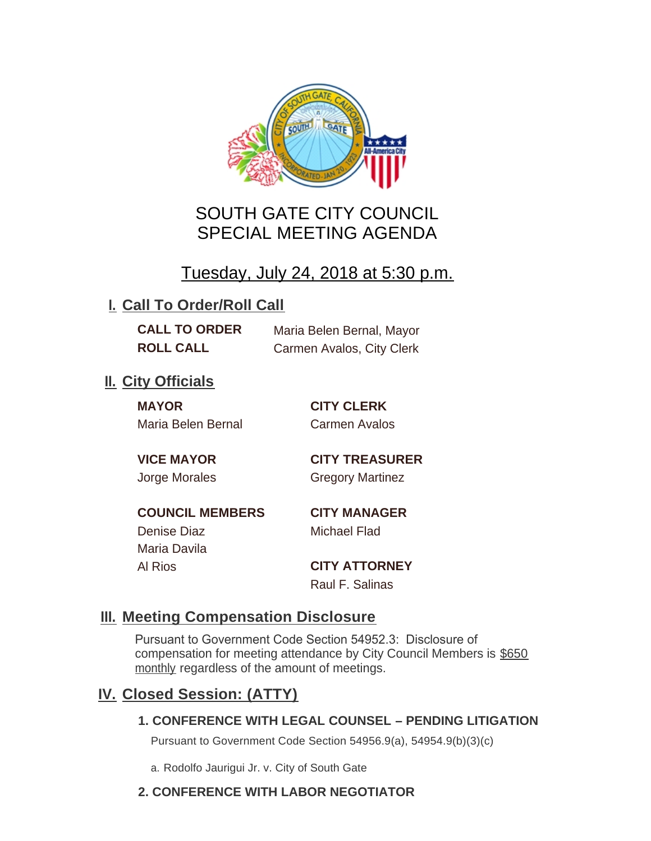

# SOUTH GATE CITY COUNCIL SPECIAL MEETING AGENDA

Tuesday, July 24, 2018 at 5:30 p.m.

# **I. Call To Order/Roll Call**

**CALL TO ORDER** Maria Belen Bernal, Mayor **ROLL CALL** Carmen Avalos, City Clerk

## **II.** City Officials

**MAYOR CITY CLERK** Maria Belen Bernal Carmen Avalos

**VICE MAYOR CITY TREASURER** Jorge Morales Gregory Martinez

**COUNCIL MEMBERS CITY MANAGER** Denise Diaz Michael Flad

Maria Davila

Al Rios **CITY ATTORNEY** Raul F. Salinas

#### **Meeting Compensation Disclosure III.**

Pursuant to Government Code Section 54952.3: Disclosure of compensation for meeting attendance by City Council Members is \$650 monthly regardless of the amount of meetings.

## **Closed Session: (ATTY) IV.**

#### **1. CONFERENCE WITH LEGAL COUNSEL – PENDING LITIGATION**

Pursuant to Government Code Section 54956.9(a), 54954.9(b)(3)(c)

a. Rodolfo Jaurigui Jr. v. City of South Gate

#### **2. CONFERENCE WITH LABOR NEGOTIATOR**